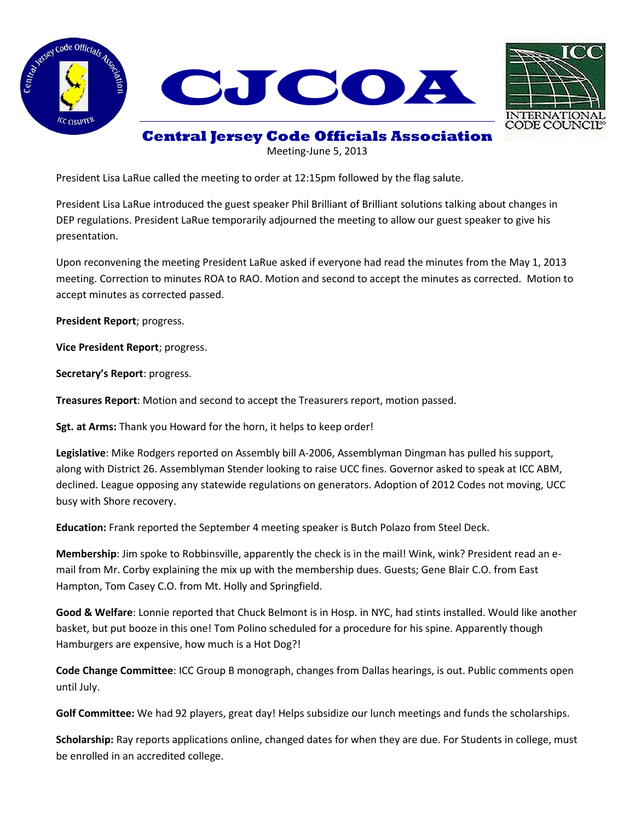



## **Central Jersey Code Officials Association**

Meeting-June 5, 2013

President Lisa LaRue called the meeting to order at 12:15pm followed by the flag salute.

President Lisa LaRue introduced the guest speaker Phil Brilliant of Brilliant solutions talking about changes in DEP regulations. President LaRue temporarily adjourned the meeting to allow our guest speaker to give his presentation.

Upon reconvening the meeting President LaRue asked if everyone had read the minutes from the May 1, 2013 meeting. Correction to minutes ROA to RAO. Motion and second to accept the minutes as corrected. Motion to accept minutes as corrected passed.

**President Report**; progress.

**Vice President Report**; progress.

**Secretary's Report**: progress.

**Treasures Report**: Motion and second to accept the Treasurers report, motion passed.

**Sgt. at Arms:** Thank you Howard for the horn, it helps to keep order!

**Legislative**: Mike Rodgers reported on Assembly bill A-2006, Assemblyman Dingman has pulled his support, along with District 26. Assemblyman Stender looking to raise UCC fines. Governor asked to speak at ICC ABM, declined. League opposing any statewide regulations on generators. Adoption of 2012 Codes not moving, UCC busy with Shore recovery.

**Education:** Frank reported the September 4 meeting speaker is Butch Polazo from Steel Deck.

**Membership**: Jim spoke to Robbinsville, apparently the check is in the mail! Wink, wink? President read an email from Mr. Corby explaining the mix up with the membership dues. Guests; Gene Blair C.O. from East Hampton, Tom Casey C.O. from Mt. Holly and Springfield.

**Good & Welfare**: Lonnie reported that Chuck Belmont is in Hosp. in NYC, had stints installed. Would like another basket, but put booze in this one! Tom Polino scheduled for a procedure for his spine. Apparently though Hamburgers are expensive, how much is a Hot Dog?!

**Code Change Committee**: ICC Group B monograph, changes from Dallas hearings, is out. Public comments open until July.

**Golf Committee:** We had 92 players, great day! Helps subsidize our lunch meetings and funds the scholarships.

**Scholarship:** Ray reports applications online, changed dates for when they are due. For Students in college, must be enrolled in an accredited college.